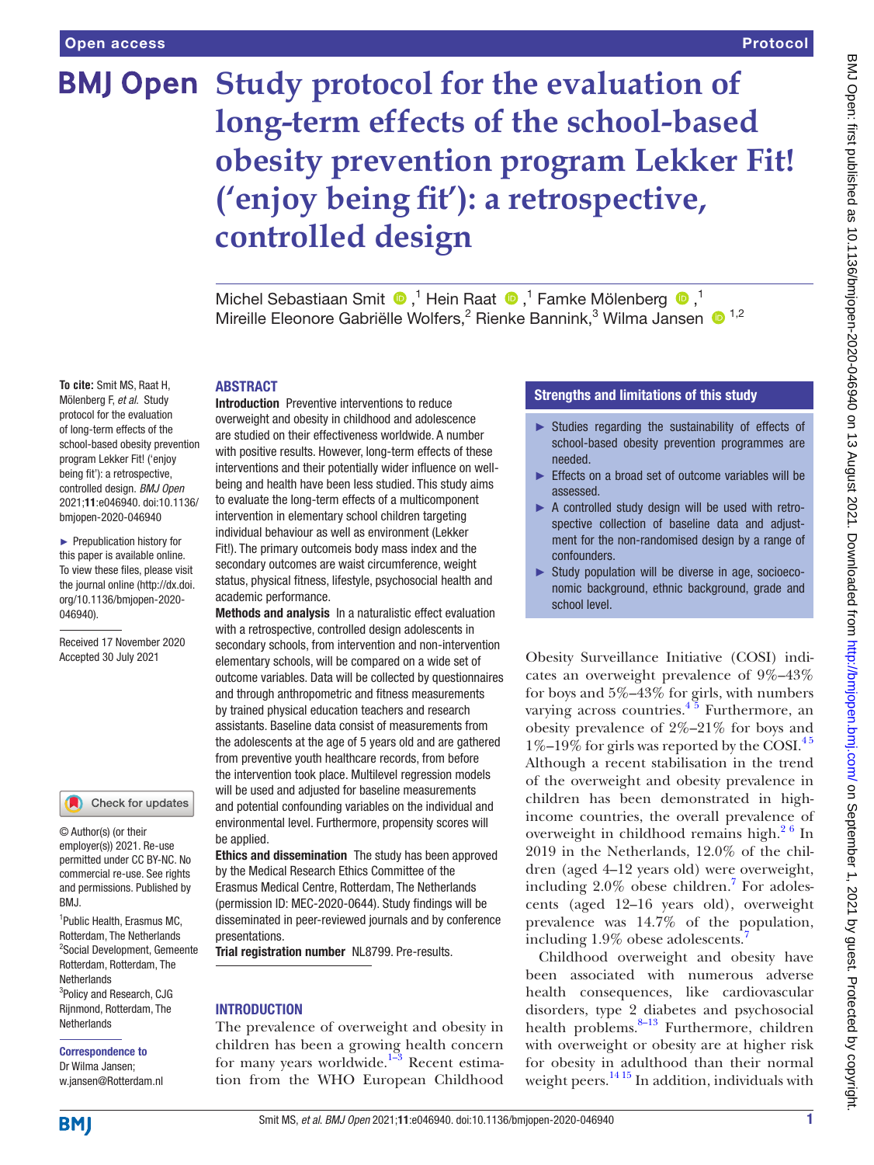# **BMJ Open** Study protocol for the evaluation of **long-term effects of the school-based obesity prevention program Lekker Fit! ('enjoy being fit'): a retrospective, controlled design**

MichelSebastiaan Smit  $\bigcirc$ ,<sup>1</sup> Hein Raat  $\bigcirc$ ,<sup>1</sup> Famke Mölenberg  $\bigcirc$ ,<sup>1</sup> Mireille Eleonore Gabriëlle Wolfers,<sup>2</sup> Rienke Bannink,<sup>3</sup> Wilma Jansen <sup>1,2</sup>

### ABSTRACT

**To cite:** Smit MS, Raat H, Mölenberg F, *et al*. Study protocol for the evaluation of long-term effects of the school-based obesity prevention program Lekker Fit! ('enjoy being fit'): a retrospective, controlled design. *BMJ Open* 2021;11:e046940. doi:10.1136/ bmjopen-2020-046940

► Prepublication history for this paper is available online. To view these files, please visit the journal online (http://dx.doi. org/10.1136/bmjopen-2020- 046940).

Received 17 November 2020 Accepted 30 July 2021

# Check for updates

© Author(s) (or their employer(s)) 2021. Re-use permitted under CC BY-NC. No commercial re-use. See rights and permissions. Published by BMJ.

1 Public Health, Erasmus MC, Rotterdam, The Netherlands 2 Social Development, Gemeente Rotterdam, Rotterdam, The **Netherlands** <sup>3</sup>Policy and Research, CJG Rijnmond, Rotterdam, The **Netherlands** 

#### Correspondence to Dr Wilma Jansen;

w.jansen@Rotterdam.nl

Introduction Preventive interventions to reduce overweight and obesity in childhood and adolescence are studied on their effectiveness worldwide. A number with positive results. However, long-term effects of these interventions and their potentially wider influence on wellbeing and health have been less studied. This study aims to evaluate the long-term effects of a multicomponent intervention in elementary school children targeting individual behaviour as well as environment (Lekker Fit!). The primary outcomeis body mass index and the secondary outcomes are waist circumference, weight status, physical fitness, lifestyle, psychosocial health and academic performance.

Methods and analysis In a naturalistic effect evaluation with a retrospective, controlled design adolescents in secondary schools, from intervention and non-intervention elementary schools, will be compared on a wide set of outcome variables. Data will be collected by questionnaires and through anthropometric and fitness measurements by trained physical education teachers and research assistants. Baseline data consist of measurements from the adolescents at the age of 5 years old and are gathered from preventive youth healthcare records, from before the intervention took place. Multilevel regression models will be used and adjusted for baseline measurements and potential confounding variables on the individual and environmental level. Furthermore, propensity scores will be applied.

Ethics and dissemination The study has been approved by the Medical Research Ethics Committee of the Erasmus Medical Centre, Rotterdam, The Netherlands (permission ID: MEC-2020-0644). Study findings will be disseminated in peer-reviewed journals and by conference presentations.

Trial registration number NL8799. Pre-results.

# INTRODUCTION

The prevalence of overweight and obesity in children has been a growing health concern for many years worldwide.<sup>1-3</sup> Recent estimation from the WHO European Childhood

# Strengths and limitations of this study

- ► Studies regarding the sustainability of effects of school-based obesity prevention programmes are needed.
- ► Effects on a broad set of outcome variables will be assessed.
- ► A controlled study design will be used with retrospective collection of baseline data and adjustment for the non-randomised design by a range of confounders.
- ► Study population will be diverse in age, socioeconomic background, ethnic background, grade and school level.

Obesity Surveillance Initiative (COSI) indicates an overweight prevalence of 9%–43% for boys and 5%–43% for girls, with numbers varying across countries.<sup>4  $\frac{3}{2}$ </sup> Furthermore, an obesity prevalence of 2%–21% for boys and  $1\%$ –19% for girls was reported by the COSI.<sup>45</sup> Although a recent stabilisation in the trend of the overweight and obesity prevalence in children has been demonstrated in highincome countries, the overall prevalence of overweight in childhood remains high. $2<sup>6</sup>$  In 2019 in the Netherlands, 12.0% of the children (aged 4–12 years old) were overweight, including  $2.0\%$  obese children.<sup>7</sup> For adolescents (aged 12–16 years old), overweight prevalence was 14.7% of the population, including 1.9% obese adolescents.<sup>7</sup>

Childhood overweight and obesity have been associated with numerous adverse health consequences, like cardiovascular disorders, type 2 diabetes and psychosocial health problems. $8-13$  Furthermore, children with overweight or obesity are at higher risk for obesity in adulthood than their normal weight peers.<sup>14 15</sup> In addition, individuals with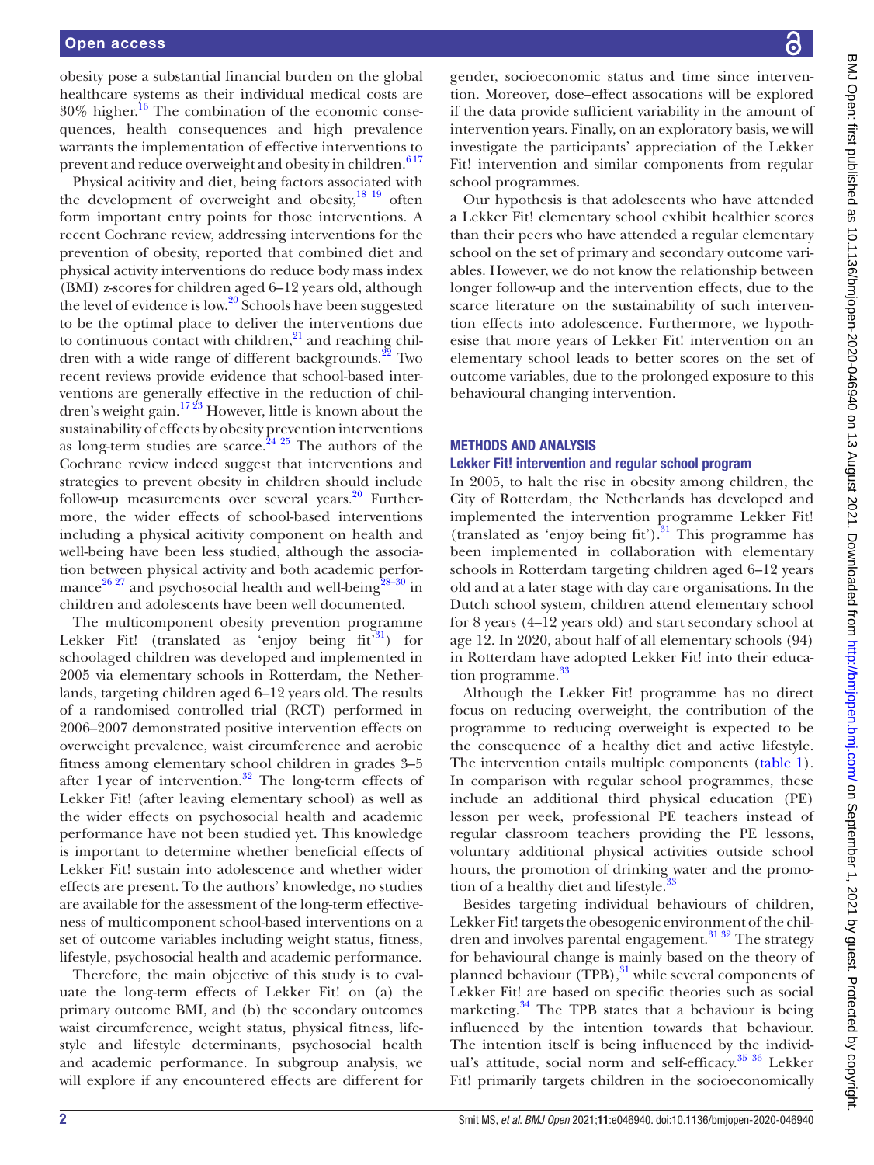obesity pose a substantial financial burden on the global healthcare systems as their individual medical costs are  $30\%$  higher.<sup>16</sup> The combination of the economic consequences, health consequences and high prevalence warrants the implementation of effective interventions to prevent and reduce overweight and obesity in children.<sup>617</sup>

Physical acitivity and diet, being factors associated with the development of overweight and obesity,<sup>[18 19](#page-7-8)</sup> often form important entry points for those interventions. A recent Cochrane review, addressing interventions for the prevention of obesity, reported that combined diet and physical activity interventions do reduce body mass index (BMI) z-scores for children aged 6–12 years old, although the level of evidence is low.<sup>[20](#page-7-9)</sup> Schools have been suggested to be the optimal place to deliver the interventions due to continuous contact with children, $21$  and reaching children with a wide range of different backgrounds. $^{22}$  Two recent reviews provide evidence that school-based interventions are generally effective in the reduction of children's weight gain.[17 23](#page-7-12) However, little is known about the sustainability of effects by obesity prevention interventions as long-term studies are scarce.<sup>24 25</sup> The authors of the Cochrane review indeed suggest that interventions and strategies to prevent obesity in children should include follow-up measurements over several years. $20$  Furthermore, the wider effects of school-based interventions including a physical acitivity component on health and well-being have been less studied, although the association between physical activity and both academic perfor-mance<sup>[26 27](#page-7-14)</sup> and psychosocial health and well-being<sup>28–30</sup> in children and adolescents have been well documented.

The multicomponent obesity prevention programme Lekker Fit! (translated as 'enjoy being  $fit^{31}$ ) for schoolaged children was developed and implemented in 2005 via elementary schools in Rotterdam, the Netherlands, targeting children aged 6–12 years old. The results of a randomised controlled trial (RCT) performed in 2006–2007 demonstrated positive intervention effects on overweight prevalence, waist circumference and aerobic fitness among elementary school children in grades 3–5 after 1 year of intervention.<sup>[32](#page-8-1)</sup> The long-term effects of Lekker Fit! (after leaving elementary school) as well as the wider effects on psychosocial health and academic performance have not been studied yet. This knowledge is important to determine whether beneficial effects of Lekker Fit! sustain into adolescence and whether wider effects are present. To the authors' knowledge, no studies are available for the assessment of the long-term effectiveness of multicomponent school-based interventions on a set of outcome variables including weight status, fitness, lifestyle, psychosocial health and academic performance.

Therefore, the main objective of this study is to evaluate the long-term effects of Lekker Fit! on (a) the primary outcome BMI, and (b) the secondary outcomes waist circumference, weight status, physical fitness, lifestyle and lifestyle determinants, psychosocial health and academic performance. In subgroup analysis, we will explore if any encountered effects are different for

gender, socioeconomic status and time since intervention. Moreover, dose–effect assocations will be explored if the data provide sufficient variability in the amount of intervention years. Finally, on an exploratory basis, we will investigate the participants' appreciation of the Lekker Fit! intervention and similar components from regular school programmes.

Our hypothesis is that adolescents who have attended a Lekker Fit! elementary school exhibit healthier scores than their peers who have attended a regular elementary school on the set of primary and secondary outcome variables. However, we do not know the relationship between longer follow-up and the intervention effects, due to the scarce literature on the sustainability of such intervention effects into adolescence. Furthermore, we hypothesise that more years of Lekker Fit! intervention on an elementary school leads to better scores on the set of outcome variables, due to the prolonged exposure to this behavioural changing intervention.

# METHODS AND ANALYSIS

#### Lekker Fit! intervention and regular school program

In 2005, to halt the rise in obesity among children, the City of Rotterdam, the Netherlands has developed and implemented the intervention programme Lekker Fit! (translated as 'enjoy being fit'). $31$  This programme has been implemented in collaboration with elementary schools in Rotterdam targeting children aged 6–12 years old and at a later stage with day care organisations. In the Dutch school system, children attend elementary school for 8 years (4–12 years old) and start secondary school at age 12. In 2020, about half of all elementary schools (94) in Rotterdam have adopted Lekker Fit! into their education programme.<sup>33</sup>

Although the Lekker Fit! programme has no direct focus on reducing overweight, the contribution of the programme to reducing overweight is expected to be the consequence of a healthy diet and active lifestyle. The intervention entails multiple components ([table](#page-2-0) 1). In comparison with regular school programmes, these include an additional third physical education (PE) lesson per week, professional PE teachers instead of regular classroom teachers providing the PE lessons, voluntary additional physical activities outside school hours, the promotion of drinking water and the promotion of a healthy diet and lifestyle.<sup>33</sup>

Besides targeting individual behaviours of children, Lekker Fit! targets the obesogenic environment of the chil-dren and involves parental engagement.<sup>[31 32](#page-8-0)</sup> The strategy for behavioural change is mainly based on the theory of planned behaviour (TPB), $^{31}$  $^{31}$  $^{31}$  while several components of Lekker Fit! are based on specific theories such as social marketing. $34$  The TPB states that a behaviour is being influenced by the intention towards that behaviour. The intention itself is being influenced by the individ-ual's attitude, social norm and self-efficacy.<sup>[35 36](#page-8-4)</sup> Lekker Fit! primarily targets children in the socioeconomically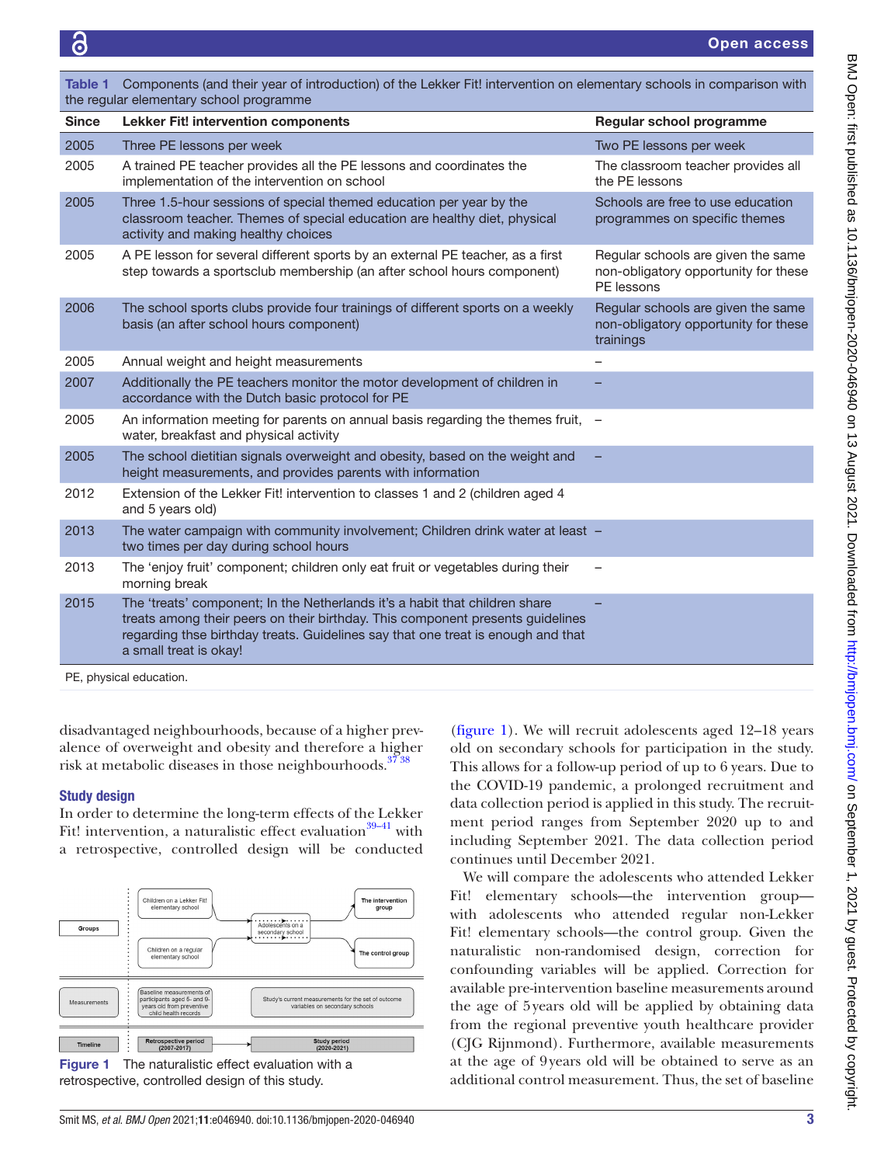<span id="page-2-0"></span>

| <u>one is a componente failure and your or maloudedicity or and Edition machinement on cleanomary concolo in companion with</u><br>the regular elementary school programme |                                                                                                                                                                                                                                                                             |                                                                                          |  |
|----------------------------------------------------------------------------------------------------------------------------------------------------------------------------|-----------------------------------------------------------------------------------------------------------------------------------------------------------------------------------------------------------------------------------------------------------------------------|------------------------------------------------------------------------------------------|--|
| <b>Since</b>                                                                                                                                                               | <b>Lekker Fit! intervention components</b>                                                                                                                                                                                                                                  | Regular school programme                                                                 |  |
| 2005                                                                                                                                                                       | Three PE lessons per week                                                                                                                                                                                                                                                   | Two PE lessons per week                                                                  |  |
| 2005                                                                                                                                                                       | A trained PE teacher provides all the PE lessons and coordinates the<br>implementation of the intervention on school                                                                                                                                                        | The classroom teacher provides all<br>the PE lessons                                     |  |
| 2005                                                                                                                                                                       | Three 1.5-hour sessions of special themed education per year by the<br>classroom teacher. Themes of special education are healthy diet, physical<br>activity and making healthy choices                                                                                     | Schools are free to use education<br>programmes on specific themes                       |  |
| 2005                                                                                                                                                                       | A PE lesson for several different sports by an external PE teacher, as a first<br>step towards a sportsclub membership (an after school hours component)                                                                                                                    | Regular schools are given the same<br>non-obligatory opportunity for these<br>PE lessons |  |
| 2006                                                                                                                                                                       | The school sports clubs provide four trainings of different sports on a weekly<br>basis (an after school hours component)                                                                                                                                                   | Regular schools are given the same<br>non-obligatory opportunity for these<br>trainings  |  |
| 2005                                                                                                                                                                       | Annual weight and height measurements                                                                                                                                                                                                                                       |                                                                                          |  |
| 2007                                                                                                                                                                       | Additionally the PE teachers monitor the motor development of children in<br>accordance with the Dutch basic protocol for PE                                                                                                                                                |                                                                                          |  |
| 2005                                                                                                                                                                       | An information meeting for parents on annual basis regarding the themes fruit, -<br>water, breakfast and physical activity                                                                                                                                                  |                                                                                          |  |
| 2005                                                                                                                                                                       | The school dietitian signals overweight and obesity, based on the weight and<br>height measurements, and provides parents with information                                                                                                                                  |                                                                                          |  |
| 2012                                                                                                                                                                       | Extension of the Lekker Fit! intervention to classes 1 and 2 (children aged 4<br>and 5 years old)                                                                                                                                                                           |                                                                                          |  |
| 2013                                                                                                                                                                       | The water campaign with community involvement; Children drink water at least -<br>two times per day during school hours                                                                                                                                                     |                                                                                          |  |
| 2013                                                                                                                                                                       | The 'enjoy fruit' component; children only eat fruit or vegetables during their<br>morning break                                                                                                                                                                            | $\overline{\phantom{0}}$                                                                 |  |
| 2015                                                                                                                                                                       | The 'treats' component; In the Netherlands it's a habit that children share<br>treats among their peers on their birthday. This component presents guidelines<br>regarding thse birthday treats. Guidelines say that one treat is enough and that<br>a small treat is okay! |                                                                                          |  |
| PE, physical education.                                                                                                                                                    |                                                                                                                                                                                                                                                                             |                                                                                          |  |

ponts (and their year of introduction) of the Lekker Fitl intervention on elementary

disadvantaged neighbourhoods, because of a higher prevalence of overweight and obesity and therefore a higher

risk at metabolic diseases in those neighbourhoods.<sup>3738</sup>

# Study design

In order to determine the long-term effects of the Lekker Fit! intervention, a naturalistic effect evaluation $39-41$  with a retrospective, controlled design will be conducted



<span id="page-2-1"></span>retrospective, controlled design of this study.

[\(figure](#page-2-1) 1). We will recruit adolescents aged 12–18 years old on secondary schools for participation in the study. This allows for a follow-up period of up to 6 years. Due to the COVID-19 pandemic, a prolonged recruitment and data collection period is applied in this study. The recruitment period ranges from September 2020 up to and including September 2021. The data collection period continues until December 2021.

We will compare the adolescents who attended Lekker Fit! elementary schools—the intervention group with adolescents who attended regular non-Lekker Fit! elementary schools—the control group. Given the naturalistic non-randomised design, correction for confounding variables will be applied. Correction for available pre-intervention baseline measurements around the age of 5years old will be applied by obtaining data from the regional preventive youth healthcare provider (CJG Rijnmond). Furthermore, available measurements at the age of 9years old will be obtained to serve as an additional control measurement. Thus, the set of baseline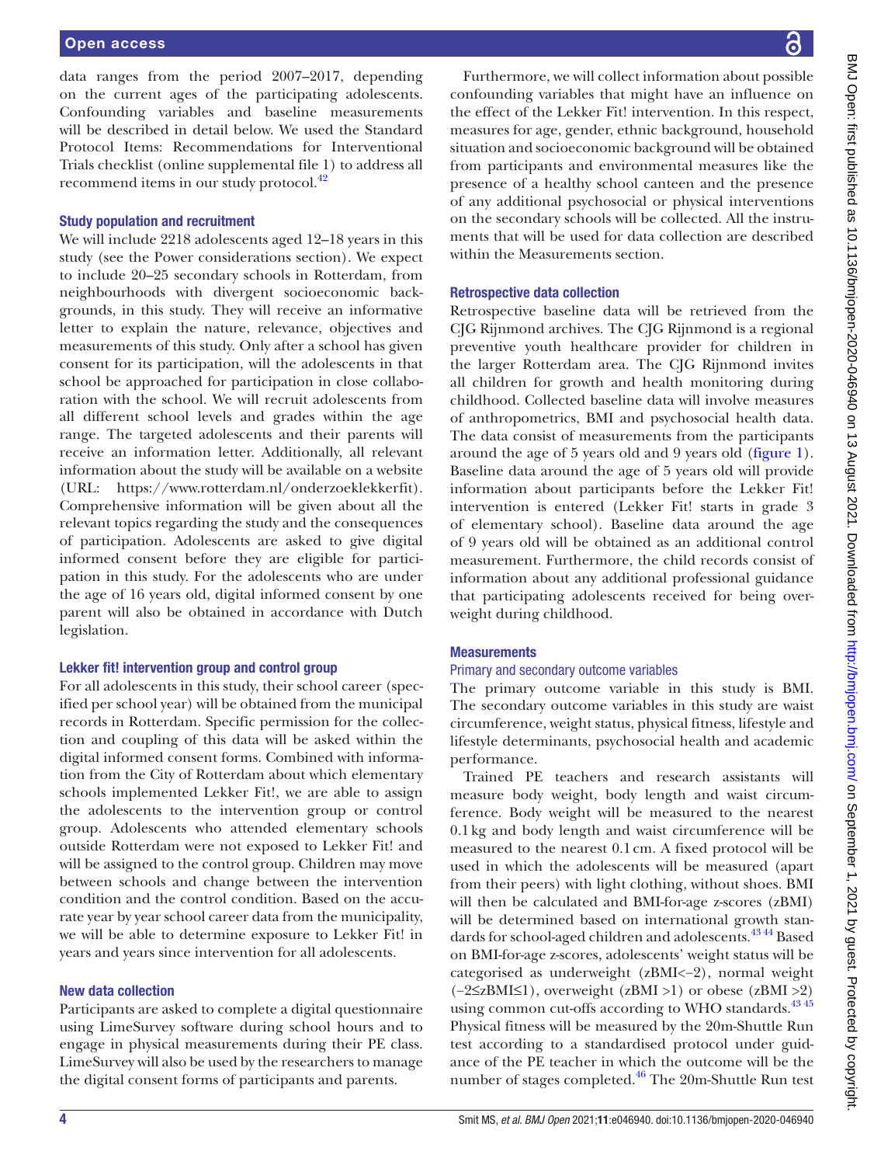data ranges from the period 2007–2017, depending on the current ages of the participating adolescents. Confounding variables and baseline measurements will be described in detail below. We used the Standard Protocol Items: Recommendations for Interventional Trials checklist (online supplemental file 1) to address all recommend items in our study protocol.<sup>42</sup>

# Study population and recruitment

We will include 2218 adolescents aged 12–18 years in this study (see the Power considerations section). We expect to include 20–25 secondary schools in Rotterdam, from neighbourhoods with divergent socioeconomic backgrounds, in this study. They will receive an informative letter to explain the nature, relevance, objectives and measurements of this study. Only after a school has given consent for its participation, will the adolescents in that school be approached for participation in close collaboration with the school. We will recruit adolescents from all different school levels and grades within the age range. The targeted adolescents and their parents will receive an information letter. Additionally, all relevant information about the study will be available on a website (URL: <https://www.rotterdam.nl/onderzoeklekkerfit>). Comprehensive information will be given about all the relevant topics regarding the study and the consequences of participation. Adolescents are asked to give digital informed consent before they are eligible for participation in this study. For the adolescents who are under the age of 16 years old, digital informed consent by one parent will also be obtained in accordance with Dutch legislation.

#### Lekker fit! intervention group and control group

For all adolescents in this study, their school career (specified per school year) will be obtained from the municipal records in Rotterdam. Specific permission for the collection and coupling of this data will be asked within the digital informed consent forms. Combined with information from the City of Rotterdam about which elementary schools implemented Lekker Fit!, we are able to assign the adolescents to the intervention group or control group. Adolescents who attended elementary schools outside Rotterdam were not exposed to Lekker Fit! and will be assigned to the control group. Children may move between schools and change between the intervention condition and the control condition. Based on the accurate year by year school career data from the municipality, we will be able to determine exposure to Lekker Fit! in years and years since intervention for all adolescents.

# New data collection

Participants are asked to complete a digital questionnaire using LimeSurvey software during school hours and to engage in physical measurements during their PE class. LimeSurvey will also be used by the researchers to manage the digital consent forms of participants and parents.

Furthermore, we will collect information about possible confounding variables that might have an influence on the effect of the Lekker Fit! intervention. In this respect, measures for age, gender, ethnic background, household situation and socioeconomic background will be obtained from participants and environmental measures like the presence of a healthy school canteen and the presence of any additional psychosocial or physical interventions on the secondary schools will be collected. All the instruments that will be used for data collection are described within the Measurements section.

# Retrospective data collection

Retrospective baseline data will be retrieved from the CJG Rijnmond archives. The CJG Rijnmond is a regional preventive youth healthcare provider for children in the larger Rotterdam area. The CJG Rijnmond invites all children for growth and health monitoring during childhood. Collected baseline data will involve measures of anthropometrics, BMI and psychosocial health data. The data consist of measurements from the participants around the age of 5 years old and 9 years old ([figure](#page-2-1) 1). Baseline data around the age of 5 years old will provide information about participants before the Lekker Fit! intervention is entered (Lekker Fit! starts in grade 3 of elementary school). Baseline data around the age of 9 years old will be obtained as an additional control measurement. Furthermore, the child records consist of information about any additional professional guidance that participating adolescents received for being overweight during childhood.

# **Measurements**

#### Primary and secondary outcome variables

The primary outcome variable in this study is BMI. The secondary outcome variables in this study are waist circumference, weight status, physical fitness, lifestyle and lifestyle determinants, psychosocial health and academic performance.

Trained PE teachers and research assistants will measure body weight, body length and waist circumference. Body weight will be measured to the nearest 0.1kg and body length and waist circumference will be measured to the nearest 0.1cm. A fixed protocol will be used in which the adolescents will be measured (apart from their peers) with light clothing, without shoes. BMI will then be calculated and BMI-for-age z-scores (zBMI) will be determined based on international growth standards for school-aged children and adolescents.<sup>4344</sup> Based on BMI-for-age z-scores, adolescents' weight status will be categorised as underweight (zBMI<−2), normal weight (−2≤zBMI≤1), overweight (zBMI >1) or obese (zBMI >2) using common cut-offs according to WHO standards.<sup>43 45</sup> Physical fitness will be measured by the 20m-Shuttle Run test according to a standardised protocol under guidance of the PE teacher in which the outcome will be the number of stages completed.<sup>[46](#page-8-9)</sup> The 20m-Shuttle Run test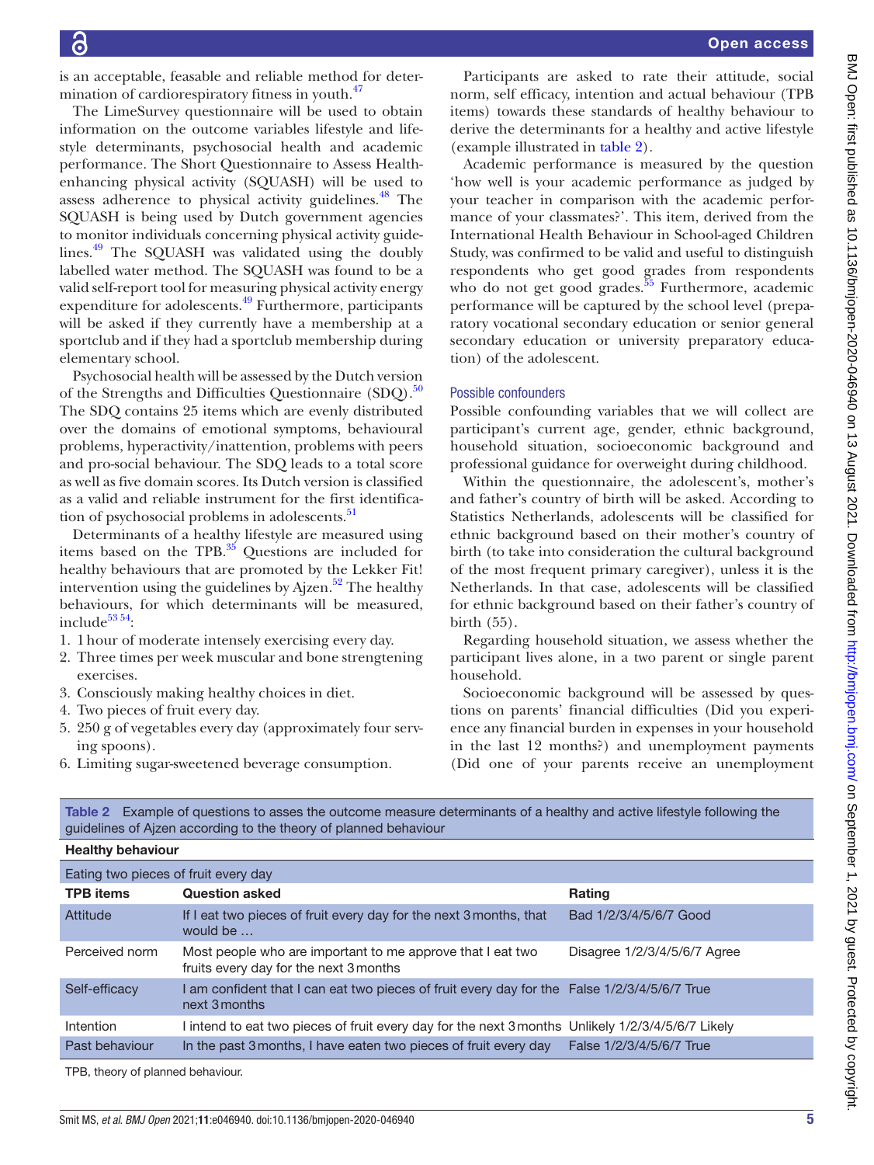is an acceptable, feasable and reliable method for determination of cardiorespiratory fitness in youth.<sup>47</sup>

The LimeSurvey questionnaire will be used to obtain information on the outcome variables lifestyle and lifestyle determinants, psychosocial health and academic performance. The Short Questionnaire to Assess Healthenhancing physical activity (SQUASH) will be used to assess adherence to physical activity guidelines.<sup>48</sup> The SQUASH is being used by Dutch government agencies to monitor individuals concerning physical activity guide-lines.<sup>[49](#page-8-12)</sup> The SQUASH was validated using the doubly labelled water method. The SQUASH was found to be a valid self-report tool for measuring physical activity energy expenditure for adolescents[.49](#page-8-12) Furthermore, participants will be asked if they currently have a membership at a sportclub and if they had a sportclub membership during elementary school.

Psychosocial health will be assessed by the Dutch version of the Strengths and Difficulties Questionnaire  $(SDQ)$ .<sup>[50](#page-8-13)</sup> The SDQ contains 25 items which are evenly distributed over the domains of emotional symptoms, behavioural problems, hyperactivity/inattention, problems with peers and pro-social behaviour. The SDQ leads to a total score as well as five domain scores. Its Dutch version is classified as a valid and reliable instrument for the first identification of psychosocial problems in adolescents.<sup>51</sup>

Determinants of a healthy lifestyle are measured using items based on the TPB. $^{35}$  Questions are included for healthy behaviours that are promoted by the Lekker Fit! intervention using the guidelines by Ajzen. $52$  The healthy behaviours, for which determinants will be measured, include<sup>53 54</sup>:

- 1. 1hour of moderate intensely exercising every day.
- 2. Three times per week muscular and bone strengtening exercises.
- 3. Consciously making healthy choices in diet.
- 4. Two pieces of fruit every day.
- 5. 250 g of vegetables every day (approximately four serving spoons).
- 6. Limiting sugar-sweetened beverage consumption.

Participants are asked to rate their attitude, social norm, self efficacy, intention and actual behaviour (TPB items) towards these standards of healthy behaviour to derive the determinants for a healthy and active lifestyle (example illustrated in [table](#page-4-0) 2).

Academic performance is measured by the question 'how well is your academic performance as judged by your teacher in comparison with the academic performance of your classmates?'. This item, derived from the International Health Behaviour in School-aged Children Study, was confirmed to be valid and useful to distinguish respondents who get good grades from respondents who do not get good grades. $55$  Furthermore, academic performance will be captured by the school level (preparatory vocational secondary education or senior general secondary education or university preparatory education) of the adolescent.

#### Possible confounders

Possible confounding variables that we will collect are participant's current age, gender, ethnic background, household situation, socioeconomic background and professional guidance for overweight during childhood.

Within the questionnaire, the adolescent's, mother's and father's country of birth will be asked. According to Statistics Netherlands, adolescents will be classified for ethnic background based on their mother's country of birth (to take into consideration the cultural background of the most frequent primary caregiver), unless it is the Netherlands. In that case, adolescents will be classified for ethnic background based on their father's country of birth (55).

Regarding household situation, we assess whether the participant lives alone, in a two parent or single parent household.

Socioeconomic background will be assessed by questions on parents' financial difficulties (Did you experience any financial burden in expenses in your household in the last 12 months?) and unemployment payments (Did one of your parents receive an unemployment

| <b>Healthy behaviour</b>             |                                                                                                             |                              |  |  |
|--------------------------------------|-------------------------------------------------------------------------------------------------------------|------------------------------|--|--|
| Eating two pieces of fruit every day |                                                                                                             |                              |  |  |
| <b>TPB</b> items                     | <b>Question asked</b>                                                                                       | <b>Rating</b>                |  |  |
| Attitude                             | If I eat two pieces of fruit every day for the next 3 months, that<br>would be                              | Bad 1/2/3/4/5/6/7 Good       |  |  |
| Perceived norm                       | Most people who are important to me approve that I eat two<br>fruits every day for the next 3 months        | Disagree 1/2/3/4/5/6/7 Agree |  |  |
| Self-efficacy                        | am confident that I can eat two pieces of fruit every day for the False 1/2/3/4/5/6/7 True<br>next 3 months |                              |  |  |
| Intention                            | l intend to eat two pieces of fruit every day for the next 3 months Unlikely 1/2/3/4/5/6/7 Likely           |                              |  |  |
| Past behaviour                       | In the past 3 months, I have eaten two pieces of fruit every day                                            | False 1/2/3/4/5/6/7 True     |  |  |
| TPB, theory of planned behaviour.    |                                                                                                             |                              |  |  |

<span id="page-4-0"></span>Table 2 Example of questions to asses the outcome measure determinants of a healthy and active lifestyle following the guidelines of Ajzen according to the theory of planned behaviour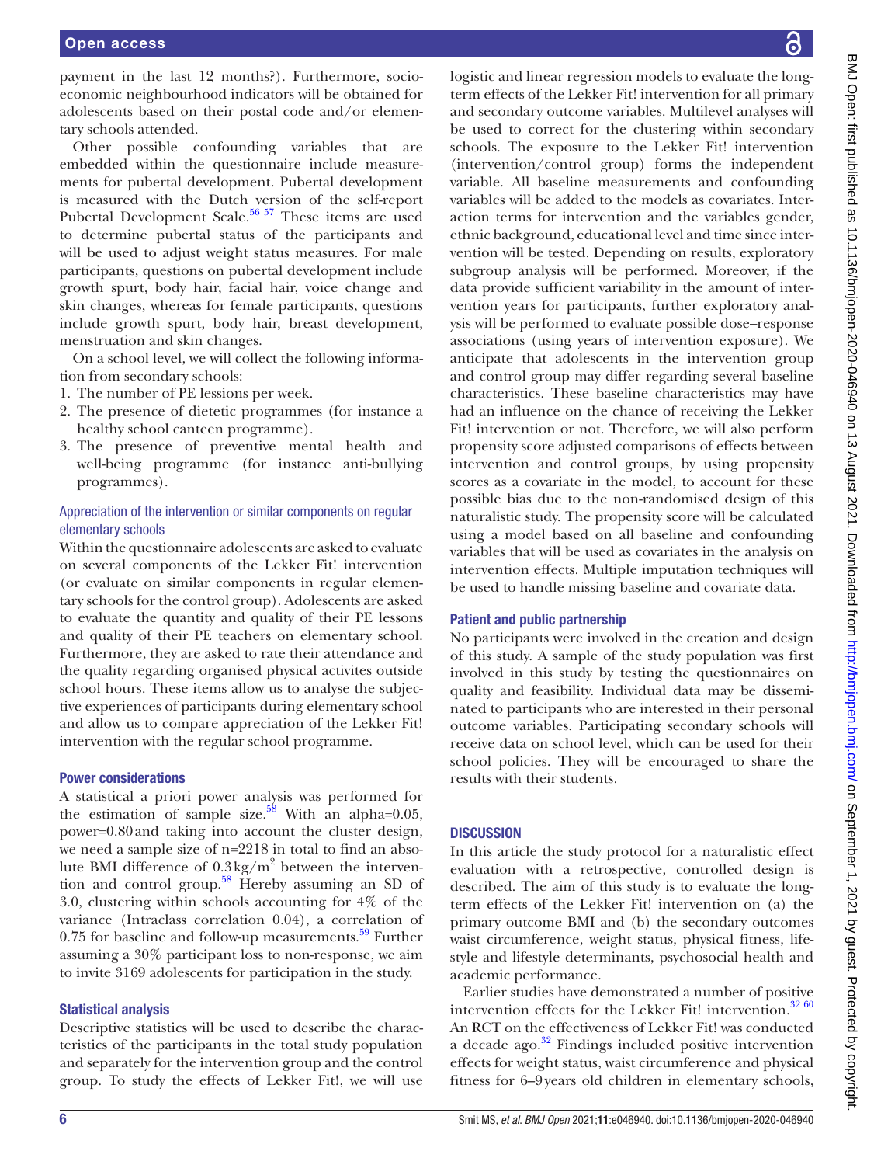payment in the last 12 months?). Furthermore, socioeconomic neighbourhood indicators will be obtained for adolescents based on their postal code and/or elementary schools attended.

Other possible confounding variables that are embedded within the questionnaire include measurements for pubertal development. Pubertal development is measured with the Dutch version of the self-report Pubertal Development Scale.<sup>56 57</sup> These items are used to determine pubertal status of the participants and will be used to adjust weight status measures. For male participants, questions on pubertal development include growth spurt, body hair, facial hair, voice change and skin changes, whereas for female participants, questions include growth spurt, body hair, breast development, menstruation and skin changes.

On a school level, we will collect the following information from secondary schools:

- 1. The number of PE lessions per week.
- 2. The presence of dietetic programmes (for instance a healthy school canteen programme).
- 3. The presence of preventive mental health and well-being programme (for instance anti-bullying programmes).

# Appreciation of the intervention or similar components on regular elementary schools

Within the questionnaire adolescents are asked to evaluate on several components of the Lekker Fit! intervention (or evaluate on similar components in regular elementary schools for the control group). Adolescents are asked to evaluate the quantity and quality of their PE lessons and quality of their PE teachers on elementary school. Furthermore, they are asked to rate their attendance and the quality regarding organised physical activites outside school hours. These items allow us to analyse the subjective experiences of participants during elementary school and allow us to compare appreciation of the Lekker Fit! intervention with the regular school programme.

# Power considerations

A statistical a priori power analysis was performed for the estimation of sample size.<sup>58</sup> With an alpha=0.05, power=0.80and taking into account the cluster design, we need a sample size of n=2218 in total to find an absolute BMI difference of  $0.3 \text{ kg/m}^2$  between the intervention and control group.[58](#page-8-19) Hereby assuming an SD of 3.0, clustering within schools accounting for 4% of the variance (Intraclass correlation 0.04), a correlation of  $0.75$  for baseline and follow-up measurements.<sup>59</sup> Further assuming a 30% participant loss to non-response, we aim to invite 3169 adolescents for participation in the study.

### Statistical analysis

Descriptive statistics will be used to describe the characteristics of the participants in the total study population and separately for the intervention group and the control group. To study the effects of Lekker Fit!, we will use logistic and linear regression models to evaluate the longterm effects of the Lekker Fit! intervention for all primary and secondary outcome variables. Multilevel analyses will be used to correct for the clustering within secondary schools. The exposure to the Lekker Fit! intervention (intervention/control group) forms the independent variable. All baseline measurements and confounding variables will be added to the models as covariates. Interaction terms for intervention and the variables gender, ethnic background, educational level and time since intervention will be tested. Depending on results, exploratory subgroup analysis will be performed. Moreover, if the data provide sufficient variability in the amount of intervention years for participants, further exploratory analysis will be performed to evaluate possible dose–response associations (using years of intervention exposure). We anticipate that adolescents in the intervention group and control group may differ regarding several baseline characteristics. These baseline characteristics may have had an influence on the chance of receiving the Lekker Fit! intervention or not. Therefore, we will also perform propensity score adjusted comparisons of effects between intervention and control groups, by using propensity scores as a covariate in the model, to account for these possible bias due to the non-randomised design of this naturalistic study. The propensity score will be calculated using a model based on all baseline and confounding variables that will be used as covariates in the analysis on intervention effects. Multiple imputation techniques will be used to handle missing baseline and covariate data.

# Patient and public partnership

No participants were involved in the creation and design of this study. A sample of the study population was first involved in this study by testing the questionnaires on quality and feasibility. Individual data may be disseminated to participants who are interested in their personal outcome variables. Participating secondary schools will receive data on school level, which can be used for their school policies. They will be encouraged to share the results with their students.

# **DISCUSSION**

In this article the study protocol for a naturalistic effect evaluation with a retrospective, controlled design is described. The aim of this study is to evaluate the longterm effects of the Lekker Fit! intervention on (a) the primary outcome BMI and (b) the secondary outcomes waist circumference, weight status, physical fitness, lifestyle and lifestyle determinants, psychosocial health and academic performance.

Earlier studies have demonstrated a number of positive intervention effects for the Lekker Fit! intervention.<sup>[32 60](#page-8-1)</sup> An RCT on the effectiveness of Lekker Fit! was conducted a decade ago.<sup>32</sup> Findings included positive intervention effects for weight status, waist circumference and physical fitness for 6–9years old children in elementary schools,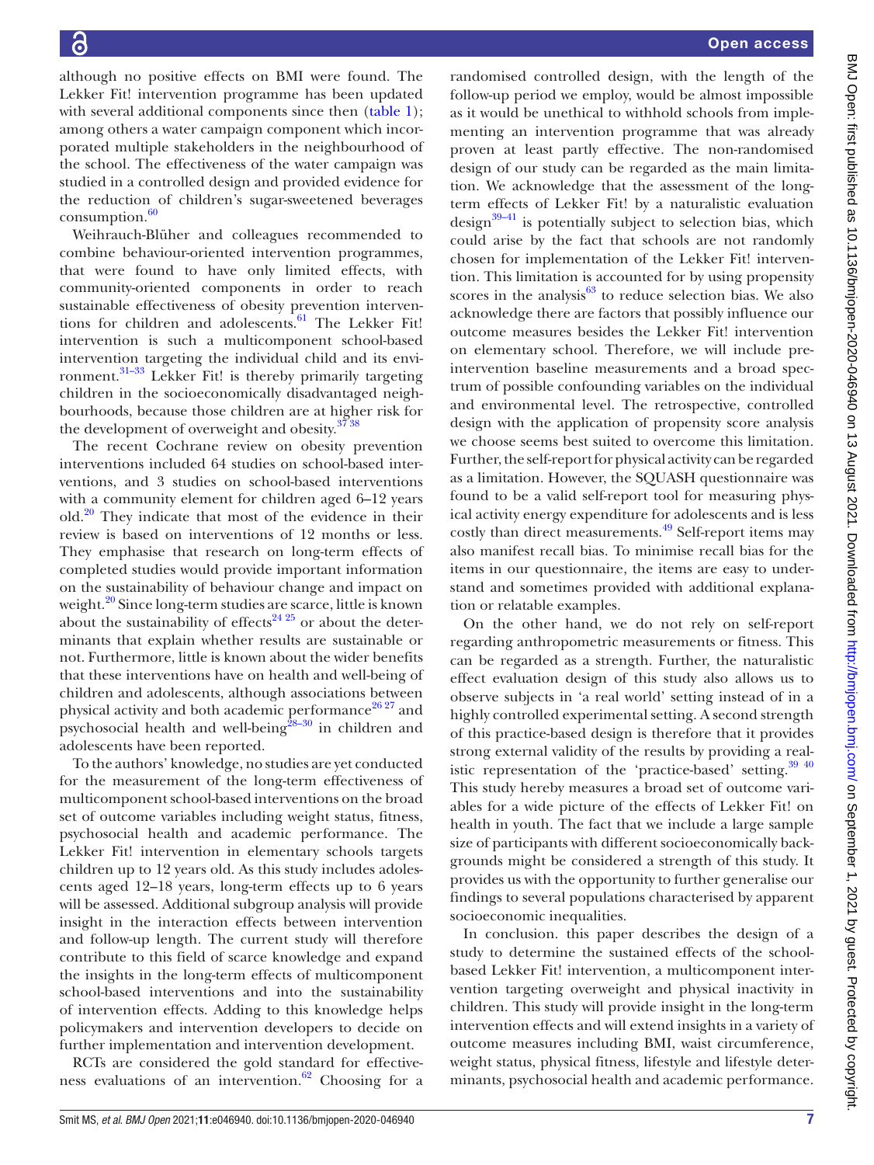although no positive effects on BMI were found. The Lekker Fit! intervention programme has been updated with several additional components since then ([table](#page-2-0) 1); among others a water campaign component which incorporated multiple stakeholders in the neighbourhood of the school. The effectiveness of the water campaign was studied in a controlled design and provided evidence for the reduction of children's sugar-sweetened beverages  $consumption.<sup>60</sup>$  $consumption.<sup>60</sup>$  $consumption.<sup>60</sup>$ 

Weihrauch-Blüher and colleagues recommended to combine behaviour-oriented intervention programmes, that were found to have only limited effects, with community-oriented components in order to reach sustainable effectiveness of obesity prevention interventions for children and adolescents. $61$  The Lekker Fit! intervention is such a multicomponent school-based intervention targeting the individual child and its environment[.31–33](#page-8-0) Lekker Fit! is thereby primarily targeting children in the socioeconomically disadvantaged neighbourhoods, because those children are at higher risk for the development of overweight and obesity.<sup>37</sup> 38</sup>

The recent Cochrane review on obesity prevention interventions included 64 studies on school-based interventions, and 3 studies on school-based interventions with a community element for children aged 6–12 years old. $20$  They indicate that most of the evidence in their review is based on interventions of 12 months or less. They emphasise that research on long-term effects of completed studies would provide important information on the sustainability of behaviour change and impact on weight.<sup>20</sup> Since long-term studies are scarce, little is known about the sustainability of effects<sup>24 25</sup> or about the determinants that explain whether results are sustainable or not. Furthermore, little is known about the wider benefits that these interventions have on health and well-being of children and adolescents, although associations between physical activity and both academic performance<sup>[26 27](#page-7-14)</sup> and psychosocial health and well-being ${}^{28-30}$  in children and adolescents have been reported.

To the authors' knowledge, no studies are yet conducted for the measurement of the long-term effectiveness of multicomponent school-based interventions on the broad set of outcome variables including weight status, fitness, psychosocial health and academic performance. The Lekker Fit! intervention in elementary schools targets children up to 12 years old. As this study includes adolescents aged 12–18 years, long-term effects up to 6 years will be assessed. Additional subgroup analysis will provide insight in the interaction effects between intervention and follow-up length. The current study will therefore contribute to this field of scarce knowledge and expand the insights in the long-term effects of multicomponent school-based interventions and into the sustainability of intervention effects. Adding to this knowledge helps policymakers and intervention developers to decide on further implementation and intervention development.

RCTs are considered the gold standard for effectiveness evaluations of an intervention. $62$  Choosing for a

randomised controlled design, with the length of the follow-up period we employ, would be almost impossible as it would be unethical to withhold schools from implementing an intervention programme that was already proven at least partly effective. The non-randomised design of our study can be regarded as the main limitation. We acknowledge that the assessment of the longterm effects of Lekker Fit! by a naturalistic evaluation design $39-41$  is potentially subject to selection bias, which could arise by the fact that schools are not randomly chosen for implementation of the Lekker Fit! intervention. This limitation is accounted for by using propensity scores in the analysis $63$  to reduce selection bias. We also acknowledge there are factors that possibly influence our outcome measures besides the Lekker Fit! intervention on elementary school. Therefore, we will include preintervention baseline measurements and a broad spectrum of possible confounding variables on the individual and environmental level. The retrospective, controlled design with the application of propensity score analysis we choose seems best suited to overcome this limitation. Further, the self-report for physical activity can be regarded as a limitation. However, the SQUASH questionnaire was found to be a valid self-report tool for measuring physical activity energy expenditure for adolescents and is less costly than direct measurements.<sup>[49](#page-8-12)</sup> Self-report items may also manifest recall bias. To minimise recall bias for the items in our questionnaire, the items are easy to understand and sometimes provided with additional explanation or relatable examples.

On the other hand, we do not rely on self-report regarding anthropometric measurements or fitness. This can be regarded as a strength. Further, the naturalistic effect evaluation design of this study also allows us to observe subjects in 'a real world' setting instead of in a highly controlled experimental setting. A second strength of this practice-based design is therefore that it provides strong external validity of the results by providing a realistic representation of the 'practice-based' setting. $39\frac{40}{2}$ This study hereby measures a broad set of outcome variables for a wide picture of the effects of Lekker Fit! on health in youth. The fact that we include a large sample size of participants with different socioeconomically backgrounds might be considered a strength of this study. It provides us with the opportunity to further generalise our findings to several populations characterised by apparent socioeconomic inequalities.

In conclusion. this paper describes the design of a study to determine the sustained effects of the schoolbased Lekker Fit! intervention, a multicomponent intervention targeting overweight and physical inactivity in children. This study will provide insight in the long-term intervention effects and will extend insights in a variety of outcome measures including BMI, waist circumference, weight status, physical fitness, lifestyle and lifestyle determinants, psychosocial health and academic performance.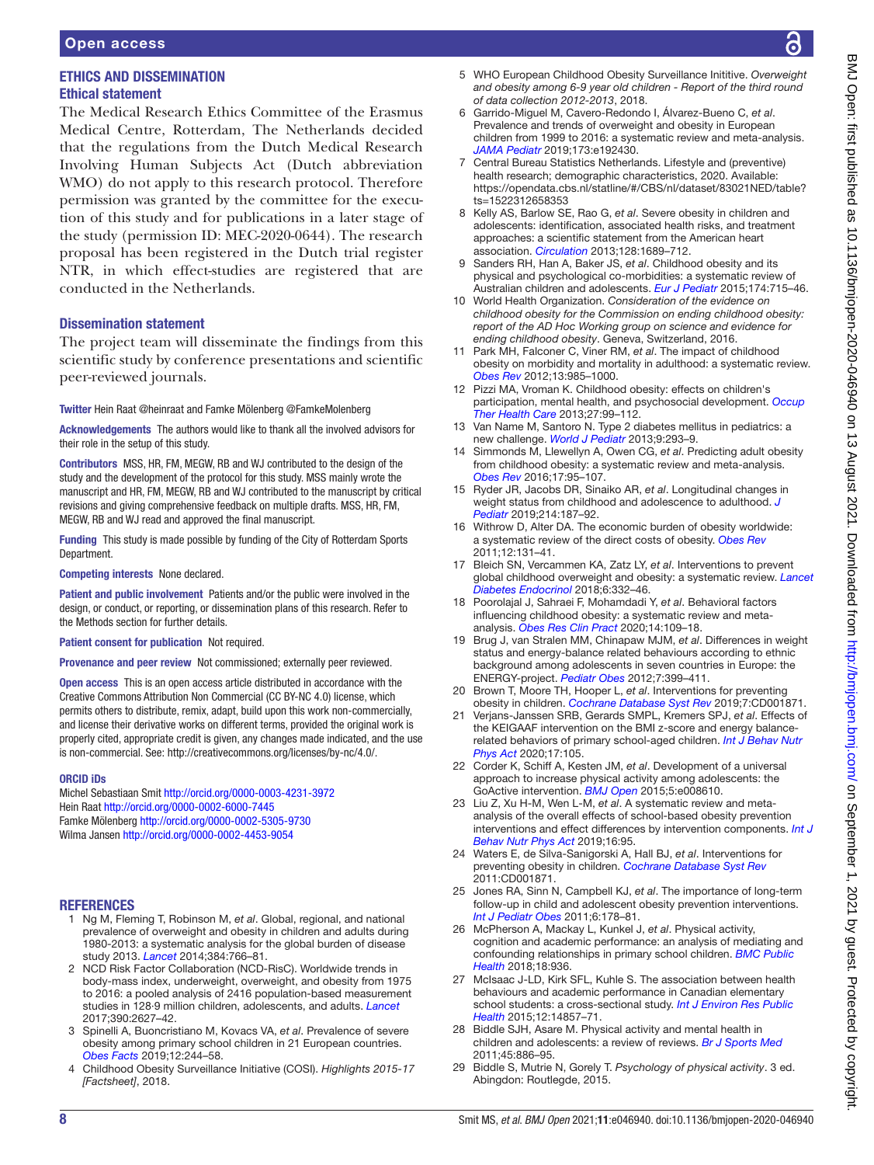# ETHICS AND DISSEMINATION Ethical statement

The Medical Research Ethics Committee of the Erasmus Medical Centre, Rotterdam, The Netherlands decided that the regulations from the Dutch Medical Research Involving Human Subjects Act (Dutch abbreviation WMO) do not apply to this research protocol. Therefore permission was granted by the committee for the execution of this study and for publications in a later stage of the study (permission ID: MEC-2020-0644). The research proposal has been registered in the Dutch trial register NTR, in which effect-studies are registered that are conducted in the Netherlands.

# Dissemination statement

The project team will disseminate the findings from this scientific study by conference presentations and scientific peer-reviewed journals.

Twitter Hein Raat [@heinraat](https://twitter.com/heinraat) and Famke Mölenberg [@FamkeMolenberg](https://twitter.com/FamkeMolenberg)

Acknowledgements The authors would like to thank all the involved advisors for their role in the setup of this study.

Contributors MSS, HR, FM, MEGW, RB and WJ contributed to the design of the study and the development of the protocol for this study. MSS mainly wrote the manuscript and HR, FM, MEGW, RB and WJ contributed to the manuscript by critical revisions and giving comprehensive feedback on multiple drafts. MSS, HR, FM, MEGW, RB and WJ read and approved the final manuscript.

Funding This study is made possible by funding of the City of Rotterdam Sports Department.

Competing interests None declared.

Patient and public involvement Patients and/or the public were involved in the design, or conduct, or reporting, or dissemination plans of this research. Refer to the Methods section for further details.

Patient consent for publication Not required.

Provenance and peer review Not commissioned; externally peer reviewed.

Open access This is an open access article distributed in accordance with the Creative Commons Attribution Non Commercial (CC BY-NC 4.0) license, which permits others to distribute, remix, adapt, build upon this work non-commercially, and license their derivative works on different terms, provided the original work is properly cited, appropriate credit is given, any changes made indicated, and the use is non-commercial. See: [http://creativecommons.org/licenses/by-nc/4.0/.](http://creativecommons.org/licenses/by-nc/4.0/)

#### ORCID iDs

Michel Sebastiaan Smit <http://orcid.org/0000-0003-4231-3972> Hein Raat <http://orcid.org/0000-0002-6000-7445> Famke Mölenberg <http://orcid.org/0000-0002-5305-9730> Wilma Jansen <http://orcid.org/0000-0002-4453-9054>

# REFERENCES

- <span id="page-7-0"></span>1 Ng M, Fleming T, Robinson M, *et al*. Global, regional, and national prevalence of overweight and obesity in children and adults during 1980-2013: a systematic analysis for the global burden of disease study 2013. *[Lancet](http://dx.doi.org/10.1016/S0140-6736(14)60460-8)* 2014;384:766–81.
- <span id="page-7-2"></span>2 NCD Risk Factor Collaboration (NCD-RisC). Worldwide trends in body-mass index, underweight, overweight, and obesity from 1975 to 2016: a pooled analysis of 2416 population-based measurement studies in 128·9 million children, adolescents, and adults. *[Lancet](http://dx.doi.org/10.1016/S0140-6736(17)32129-3)* 2017;390:2627–42.
- 3 Spinelli A, Buoncristiano M, Kovacs VA, *et al*. Prevalence of severe obesity among primary school children in 21 European countries. *[Obes Facts](http://dx.doi.org/10.1159/000500436)* 2019;12:244–58.
- <span id="page-7-1"></span>4 Childhood Obesity Surveillance Initiative (COSI). *Highlights 2015-17 [Factsheet]*, 2018.
- 5 WHO European Childhood Obesity Surveillance Inititive. *Overweight and obesity among 6-9 year old children - Report of the third round of data collection 2012-2013*, 2018.
- <span id="page-7-7"></span>6 Garrido-Miguel M, Cavero-Redondo I, Álvarez-Bueno C, *et al*. Prevalence and trends of overweight and obesity in European children from 1999 to 2016: a systematic review and meta-analysis. *[JAMA Pediatr](http://dx.doi.org/10.1001/jamapediatrics.2019.2430)* 2019;173:e192430.
- <span id="page-7-3"></span>7 Central Bureau Statistics Netherlands. Lifestyle and (preventive) health research; demographic characteristics, 2020. Available: [https://opendata.cbs.nl/statline/#/CBS/nl/dataset/83021NED/table?](https://opendata.cbs.nl/statline/#/CBS/nl/dataset/83021NED/table?ts=1522312658353) [ts=1522312658353](https://opendata.cbs.nl/statline/#/CBS/nl/dataset/83021NED/table?ts=1522312658353)
- <span id="page-7-4"></span>8 Kelly AS, Barlow SE, Rao G, *et al*. Severe obesity in children and adolescents: identification, associated health risks, and treatment approaches: a scientific statement from the American heart association. *[Circulation](http://dx.doi.org/10.1161/CIR.0b013e3182a5cfb3)* 2013;128:1689–712.
- 9 Sanders RH, Han A, Baker JS, *et al*. Childhood obesity and its physical and psychological co-morbidities: a systematic review of Australian children and adolescents. *[Eur J Pediatr](http://dx.doi.org/10.1007/s00431-015-2551-3)* 2015;174:715–46.
- 10 World Health Organization. *Consideration of the evidence on childhood obesity for the Commission on ending childhood obesity: report of the AD Hoc Working group on science and evidence for ending childhood obesity*. Geneva, Switzerland, 2016.
- 11 Park MH, Falconer C, Viner RM, *et al*. The impact of childhood obesity on morbidity and mortality in adulthood: a systematic review. *[Obes Rev](http://dx.doi.org/10.1111/j.1467-789X.2012.01015.x)* 2012;13:985–1000.
- 12 Pizzi MA, Vroman K. Childhood obesity: effects on children's participation, mental health, and psychosocial development. *[Occup](http://dx.doi.org/10.3109/07380577.2013.784839)  [Ther Health Care](http://dx.doi.org/10.3109/07380577.2013.784839)* 2013;27:99–112.
- 13 Van Name M, Santoro N. Type 2 diabetes mellitus in pediatrics: a new challenge. *[World J Pediatr](http://dx.doi.org/10.1007/s12519-013-0438-9)* 2013;9:293–9.
- <span id="page-7-5"></span>14 Simmonds M, Llewellyn A, Owen CG, *et al*. Predicting adult obesity from childhood obesity: a systematic review and meta-analysis. *[Obes Rev](http://dx.doi.org/10.1111/obr.12334)* 2016;17:95–107.
- 15 Ryder JR, Jacobs DR, Sinaiko AR, *et al*. Longitudinal changes in weight status from childhood and adolescence to adulthood. *[J](http://dx.doi.org/10.1016/j.jpeds.2019.07.035)  [Pediatr](http://dx.doi.org/10.1016/j.jpeds.2019.07.035)* 2019;214:187–92.
- <span id="page-7-6"></span>16 Withrow D, Alter DA. The economic burden of obesity worldwide: a systematic review of the direct costs of obesity. *[Obes Rev](http://dx.doi.org/10.1111/j.1467-789X.2009.00712.x)* 2011;12:131–41.
- <span id="page-7-12"></span>17 Bleich SN, Vercammen KA, Zatz LY, *et al*. Interventions to prevent global childhood overweight and obesity: a systematic review. *[Lancet](http://dx.doi.org/10.1016/S2213-8587(17)30358-3)  [Diabetes Endocrinol](http://dx.doi.org/10.1016/S2213-8587(17)30358-3)* 2018;6:332–46.
- <span id="page-7-8"></span>18 Poorolajal J, Sahraei F, Mohamdadi Y, *et al*. Behavioral factors influencing childhood obesity: a systematic review and metaanalysis. *[Obes Res Clin Pract](http://dx.doi.org/10.1016/j.orcp.2020.03.002)* 2020;14:109–18.
- 19 Brug J, van Stralen MM, Chinapaw MJM, *et al*. Differences in weight status and energy-balance related behaviours according to ethnic background among adolescents in seven countries in Europe: the ENERGY-project. *[Pediatr Obes](http://dx.doi.org/10.1111/j.2047-6310.2012.00067.x)* 2012;7:399–411.
- <span id="page-7-9"></span>20 Brown T, Moore TH, Hooper L, *et al*. Interventions for preventing obesity in children. *[Cochrane Database Syst Rev](http://dx.doi.org/10.1002/14651858.CD001871.pub4)* 2019;7:CD001871.
- <span id="page-7-10"></span>21 Verjans-Janssen SRB, Gerards SMPL, Kremers SPJ, *et al*. Effects of the KEIGAAF intervention on the BMI z-score and energy balancerelated behaviors of primary school-aged children. *[Int J Behav Nutr](http://dx.doi.org/10.1186/s12966-020-01012-8)  [Phys Act](http://dx.doi.org/10.1186/s12966-020-01012-8)* 2020;17:105.
- <span id="page-7-11"></span>22 Corder K, Schiff A, Kesten JM, *et al*. Development of a universal approach to increase physical activity among adolescents: the GoActive intervention. *[BMJ Open](http://dx.doi.org/10.1136/bmjopen-2015-008610)* 2015;5:e008610.
- 23 Liu Z, Xu H-M, Wen L-M, *et al*. A systematic review and metaanalysis of the overall effects of school-based obesity prevention interventions and effect differences by intervention components. *[Int J](http://dx.doi.org/10.1186/s12966-019-0848-8)  [Behav Nutr Phys Act](http://dx.doi.org/10.1186/s12966-019-0848-8)* 2019;16:95.
- <span id="page-7-13"></span>24 Waters E, de Silva-Sanigorski A, Hall BJ, *et al*. Interventions for preventing obesity in children. *[Cochrane Database Syst Rev](http://dx.doi.org/10.1002/14651858.CD001871.pub3)* 2011:CD001871.
- 25 Jones RA, Sinn N, Campbell KJ, *et al*. The importance of long-term follow-up in child and adolescent obesity prevention interventions. *[Int J Pediatr Obes](http://dx.doi.org/10.3109/17477166.2011.575155)* 2011;6:178–81.
- <span id="page-7-14"></span>26 McPherson A, Mackay L, Kunkel J, *et al*. Physical activity, cognition and academic performance: an analysis of mediating and confounding relationships in primary school children. *[BMC Public](http://dx.doi.org/10.1186/s12889-018-5863-1)  [Health](http://dx.doi.org/10.1186/s12889-018-5863-1)* 2018;18:936.
- 27 McIsaac J-LD, Kirk SFL, Kuhle S. The association between health behaviours and academic performance in Canadian elementary school students: a cross-sectional study. *[Int J Environ Res Public](http://dx.doi.org/10.3390/ijerph121114857)  [Health](http://dx.doi.org/10.3390/ijerph121114857)* 2015;12:14857–71.
- <span id="page-7-15"></span>28 Biddle SJH, Asare M. Physical activity and mental health in children and adolescents: a review of reviews. *[Br J Sports Med](http://dx.doi.org/10.1136/bjsports-2011-090185)* 2011;45:886–95.
- 29 Biddle S, Mutrie N, Gorely T. *Psychology of physical activity*. 3 ed. Abingdon: Routlegde, 2015.